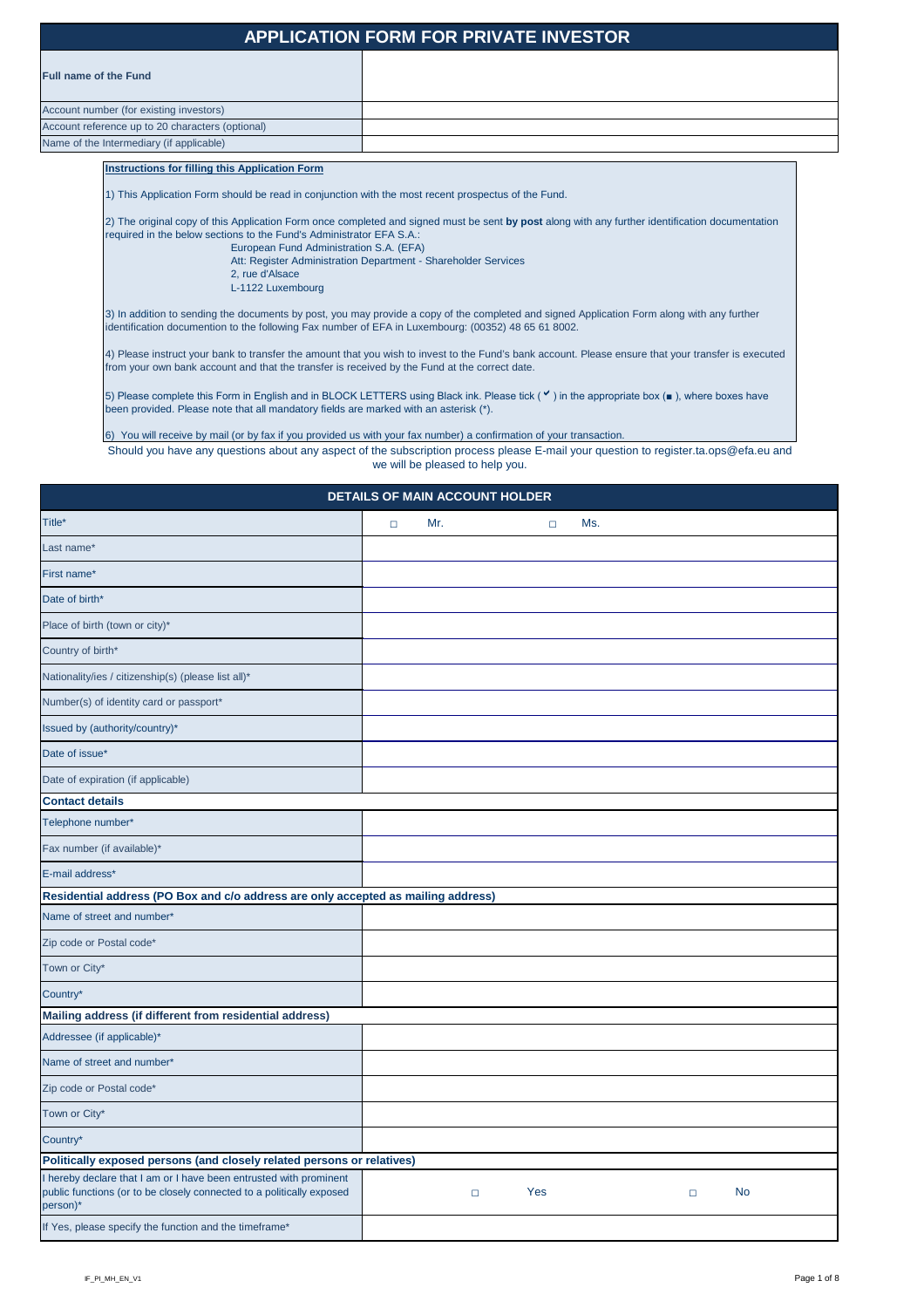## Name of the Intermediary (if applicable) Account number (for existing investors) Account reference up to 20 characters (optional)

Should you have any questions about any aspect of the subscription process please E-mail your question to register.ta.ops@efa.eu and we will be pleased to help you.

# **APPLICATION FORM FOR PRIVATE INVESTOR**

5) Please complete this Form in English and in BLOCK LETTERS using Black ink. Please tick ( v ) in the appropriate box (■ ), where boxes have been provided. Please note that all mandatory fields are marked with an asterisk (\*).

#### **Instructions for filling this Application Form**

1) This Application Form should be read in conjunction with the most recent prospectus of the Fund.

| <b>DETAILS OF MAIN ACCOUNT HOLDER</b>                                                                                                                   |        |        |        |     |        |           |  |
|---------------------------------------------------------------------------------------------------------------------------------------------------------|--------|--------|--------|-----|--------|-----------|--|
| Title*                                                                                                                                                  | $\Box$ | Mr.    | $\Box$ | Ms. |        |           |  |
| Last name*                                                                                                                                              |        |        |        |     |        |           |  |
| First name*                                                                                                                                             |        |        |        |     |        |           |  |
| Date of birth*                                                                                                                                          |        |        |        |     |        |           |  |
| Place of birth (town or city)*                                                                                                                          |        |        |        |     |        |           |  |
| Country of birth*                                                                                                                                       |        |        |        |     |        |           |  |
| Nationality/ies / citizenship(s) (please list all)*                                                                                                     |        |        |        |     |        |           |  |
| Number(s) of identity card or passport*                                                                                                                 |        |        |        |     |        |           |  |
| Issued by (authority/country)*                                                                                                                          |        |        |        |     |        |           |  |
| Date of issue*                                                                                                                                          |        |        |        |     |        |           |  |
| Date of expiration (if applicable)                                                                                                                      |        |        |        |     |        |           |  |
| <b>Contact details</b>                                                                                                                                  |        |        |        |     |        |           |  |
| Telephone number*                                                                                                                                       |        |        |        |     |        |           |  |
| Fax number (if available)*                                                                                                                              |        |        |        |     |        |           |  |
| E-mail address*                                                                                                                                         |        |        |        |     |        |           |  |
| Residential address (PO Box and c/o address are only accepted as mailing address)                                                                       |        |        |        |     |        |           |  |
| Name of street and number*                                                                                                                              |        |        |        |     |        |           |  |
| Zip code or Postal code*                                                                                                                                |        |        |        |     |        |           |  |
| Town or City*                                                                                                                                           |        |        |        |     |        |           |  |
| Country*                                                                                                                                                |        |        |        |     |        |           |  |
| Mailing address (if different from residential address)                                                                                                 |        |        |        |     |        |           |  |
| Addressee (if applicable)*                                                                                                                              |        |        |        |     |        |           |  |
| Name of street and number*                                                                                                                              |        |        |        |     |        |           |  |
| Zip code or Postal code*                                                                                                                                |        |        |        |     |        |           |  |
| Town or City*                                                                                                                                           |        |        |        |     |        |           |  |
| Country*                                                                                                                                                |        |        |        |     |        |           |  |
| Politically exposed persons (and closely related persons or relatives)                                                                                  |        |        |        |     |        |           |  |
| I hereby declare that I am or I have been entrusted with prominent<br>public functions (or to be closely connected to a politically exposed<br>person)* |        | $\Box$ | Yes    |     | $\Box$ | <b>No</b> |  |
| If Yes, please specify the function and the timeframe*                                                                                                  |        |        |        |     |        |           |  |

2) The original copy of this Application Form once completed and signed must be sent **by post** along with any further identification documentation required in the below sections to the Fund's Administrator EFA S.A.:

> European Fund Administration S.A. (EFA) Att: Register Administration Department - Shareholder Services 2, rue d'Alsace L-1122 Luxembourg

3) In addition to sending the documents by post, you may provide a copy of the completed and signed Application Form along with any further identification documention to the following Fax number of EFA in Luxembourg: (00352) 48 65 61 8002.

4) Please instruct your bank to transfer the amount that you wish to invest to the Fund's bank account. Please ensure that your transfer is executed from your own bank account and that the transfer is received by the Fund at the correct date.

6) You will receive by mail (or by fax if you provided us with your fax number) a confirmation of your transaction.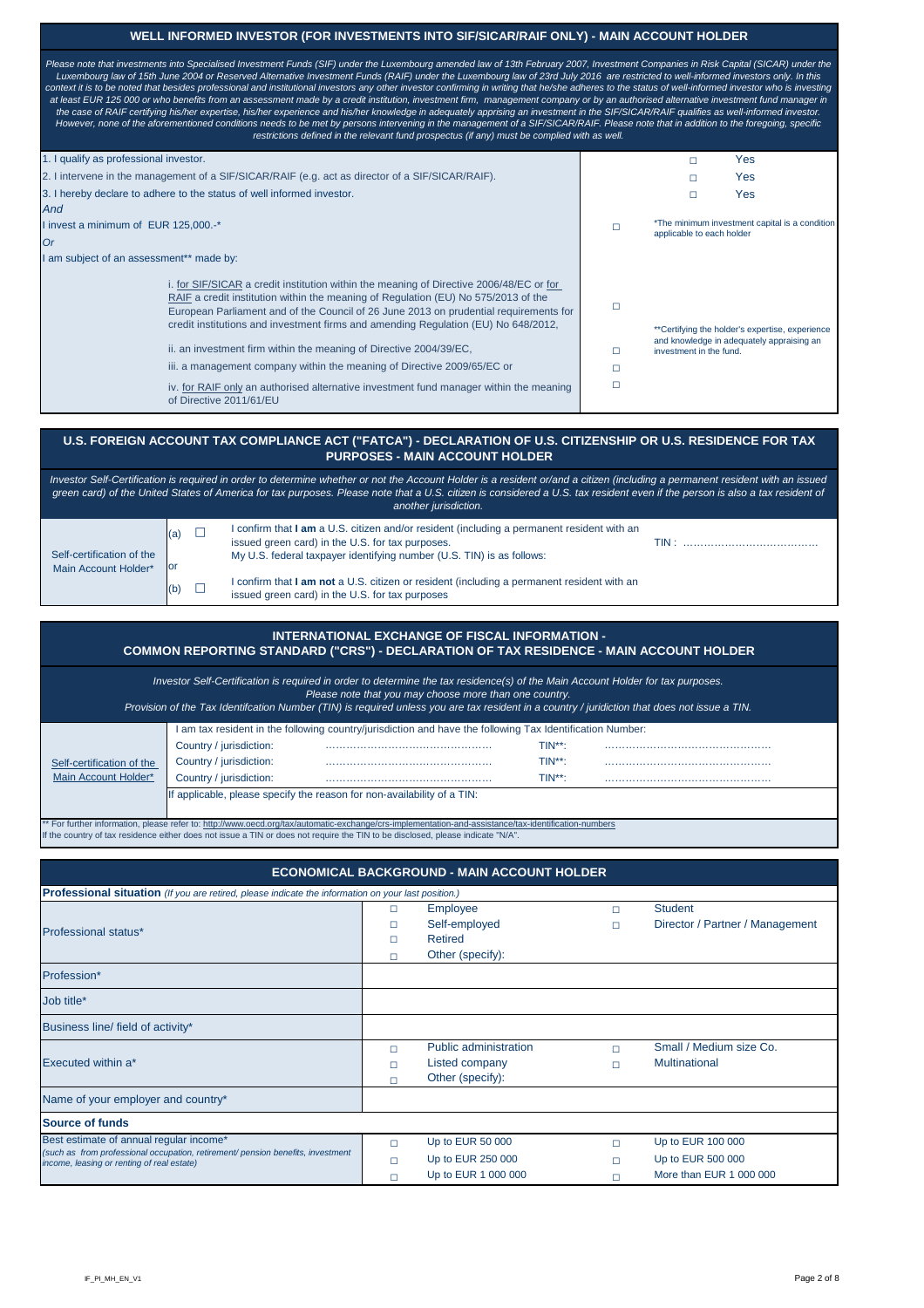or

|                                                                                       | INTERNATIONAL EXCHANGE OF FISCAL INFORMATION -<br>COMMON REPORTING STANDARD ("CRS") - DECLARATION OF TAX RESIDENCE - MAIN ACCOUNT HOLDER                                                                                                                                                |                            |                                                                           |                                     |                            |                                                                   |  |  |  |  |
|---------------------------------------------------------------------------------------|-----------------------------------------------------------------------------------------------------------------------------------------------------------------------------------------------------------------------------------------------------------------------------------------|----------------------------|---------------------------------------------------------------------------|-------------------------------------|----------------------------|-------------------------------------------------------------------|--|--|--|--|
|                                                                                       | Investor Self-Certification is required in order to determine the tax residence(s) of the Main Account Holder for tax purposes.<br>Provision of the Tax Identifcation Number (TIN) is required unless you are tax resident in a country / juridiction that does not issue a TIN.        |                            | Please note that you may choose more than one country.                    |                                     |                            |                                                                   |  |  |  |  |
| Self-certification of the<br>Main Account Holder*                                     | I am tax resident in the following country/jurisdiction and have the following Tax Identification Number:<br>Country / jurisdiction:<br>Country / jurisdiction:<br>Country / jurisdiction:<br>If applicable, please specify the reason for non-availability of a TIN:                   |                            |                                                                           | $TIN**$ :<br>$TIN**$ :<br>$TIN**$ : |                            |                                                                   |  |  |  |  |
|                                                                                       | ** For further information, please refer to: http://www.oecd.org/tax/automatic-exchange/crs-implementation-and-assistance/tax-identification-numbers<br>If the country of tax residence either does not issue a TIN or does not require the TIN to be disclosed, please indicate "N/A". |                            |                                                                           |                                     |                            |                                                                   |  |  |  |  |
|                                                                                       | Professional situation (If you are retired, please indicate the information on your last position.)                                                                                                                                                                                     |                            | <b>ECONOMICAL BACKGROUND - MAIN ACCOUNT HOLDER</b>                        |                                     |                            |                                                                   |  |  |  |  |
| <b>Professional status*</b>                                                           |                                                                                                                                                                                                                                                                                         | $\Box$<br>П<br>П<br>П      | <b>Employee</b><br>Self-employed<br><b>Retired</b><br>Other (specify):    |                                     | $\Box$<br>$\Box$           | <b>Student</b><br>Director / Partner / Management                 |  |  |  |  |
| Profession*                                                                           |                                                                                                                                                                                                                                                                                         |                            |                                                                           |                                     |                            |                                                                   |  |  |  |  |
| Job title*                                                                            |                                                                                                                                                                                                                                                                                         |                            |                                                                           |                                     |                            |                                                                   |  |  |  |  |
| Business line/ field of activity*                                                     |                                                                                                                                                                                                                                                                                         |                            |                                                                           |                                     |                            |                                                                   |  |  |  |  |
| Executed within a*                                                                    |                                                                                                                                                                                                                                                                                         | $\Box$<br>$\Box$<br>$\Box$ | <b>Public administration</b><br><b>Listed company</b><br>Other (specify): |                                     | $\Box$<br>$\Box$           | Small / Medium size Co.<br><b>Multinational</b>                   |  |  |  |  |
| Name of your employer and country*                                                    |                                                                                                                                                                                                                                                                                         |                            |                                                                           |                                     |                            |                                                                   |  |  |  |  |
| <b>Source of funds</b>                                                                |                                                                                                                                                                                                                                                                                         |                            |                                                                           |                                     |                            |                                                                   |  |  |  |  |
| Best estimate of annual regular income*<br>income, leasing or renting of real estate) | (such as from professional occupation, retirement/ pension benefits, investment                                                                                                                                                                                                         | $\Box$<br>⊔<br>$\Box$      | Up to EUR 50 000<br>Up to EUR 250 000<br>Up to EUR 1 000 000              |                                     | $\Box$<br>$\Box$<br>$\Box$ | Up to EUR 100 000<br>Up to EUR 500 000<br>More than EUR 1 000 000 |  |  |  |  |

 $(b)$   $\Box$ I confirm that **I am not** a U.S. citizen or resident (including a permanent resident with an issued green card) in the U.S. for tax purposes

(a)  $\Box$ *Investor Self-Certification is required in order to determine whether or not the Account Holder is a resident or/and a citizen (including a permanent resident with an issued green card) of the United States of America for tax purposes. Please note that a U.S. citizen is considered a U.S. tax resident even if the person is also a tax resident of another jurisdiction.* Self-certification of the I confirm that **I am** a U.S. citizen and/or resident (including a permanent resident with an issued green card) in the U.S. for tax purposes. TIN : ………………………………………………………………… My U.S. federal taxpayer identifying number (U.S. TIN) is as follows:

### **U.S. FOREIGN ACCOUNT TAX COMPLIANCE ACT ("FATCA") - DECLARATION OF U.S. CITIZENSHIP OR U.S. RESIDENCE FOR TAX PURPOSES - MAIN ACCOUNT HOLDER**

Main Account Holder\*

| 1. I qualify as professional investor.                                                                                                                                                                                                                                                                                                                                                                                                                                                                                                                                                                                             |   | Yes                                                                                                                     |
|------------------------------------------------------------------------------------------------------------------------------------------------------------------------------------------------------------------------------------------------------------------------------------------------------------------------------------------------------------------------------------------------------------------------------------------------------------------------------------------------------------------------------------------------------------------------------------------------------------------------------------|---|-------------------------------------------------------------------------------------------------------------------------|
| 2. I intervene in the management of a SIF/SICAR/RAIF (e.g. act as director of a SIF/SICAR/RAIF).                                                                                                                                                                                                                                                                                                                                                                                                                                                                                                                                   |   | Yes<br>П                                                                                                                |
| 3. I hereby declare to adhere to the status of well informed investor.                                                                                                                                                                                                                                                                                                                                                                                                                                                                                                                                                             |   | Yes                                                                                                                     |
| And                                                                                                                                                                                                                                                                                                                                                                                                                                                                                                                                                                                                                                |   |                                                                                                                         |
| I invest a minimum of EUR 125,000.-*                                                                                                                                                                                                                                                                                                                                                                                                                                                                                                                                                                                               |   | *The minimum investment capital is a condition<br>applicable to each holder                                             |
| Or                                                                                                                                                                                                                                                                                                                                                                                                                                                                                                                                                                                                                                 |   |                                                                                                                         |
| I am subject of an assessment** made by:                                                                                                                                                                                                                                                                                                                                                                                                                                                                                                                                                                                           |   |                                                                                                                         |
| i. for SIF/SICAR a credit institution within the meaning of Directive 2006/48/EC or for<br>RAIF a credit institution within the meaning of Regulation (EU) No 575/2013 of the<br>European Parliament and of the Council of 26 June 2013 on prudential requirements for<br>credit institutions and investment firms and amending Regulation (EU) No 648/2012,<br>ii. an investment firm within the meaning of Directive 2004/39/EC,<br>iii. a management company within the meaning of Directive 2009/65/EC or<br>iv. for RAIF only an authorised alternative investment fund manager within the meaning<br>of Directive 2011/61/EU | □ | **Certifying the holder's expertise, experience<br>and knowledge in adequately appraising an<br>investment in the fund. |

#### **WELL INFORMED INVESTOR (FOR INVESTMENTS INTO SIF/SICAR/RAIF ONLY) - MAIN ACCOUNT HOLDER**

*Please note that investments into Specialised Investment Funds (SIF) under the Luxembourg amended law of 13th February 2007, Investment Companies in Risk Capital (SICAR) under the Luxembourg law of 15th June 2004 or Reserved Alternative Investment Funds (RAIF) under the Luxembourg law of 23rd July 2016 are restricted to well-informed investors only. In this*  context it is to be noted that besides professional and institutional investors any other investor confirming in writing that he/she adheres to the status of well-informed investor who is investing *at least EUR 125 000 or who benefits from an assessment made by a credit institution, investment firm, management company or by an authorised alternative investment fund manager in the case of RAIF certifying his/her expertise, his/her experience and his/her knowledge in adequately apprising an investment in the SIF/SICAR/RAIF qualifies as well-informed investor. However, none of the aforementioned conditions needs to be met by persons intervening in the management of a SIF/SICAR/RAIF. Please note that in addition to the foregoing, specific restrictions defined in the relevant fund prospectus (if any) must be complied with as well.*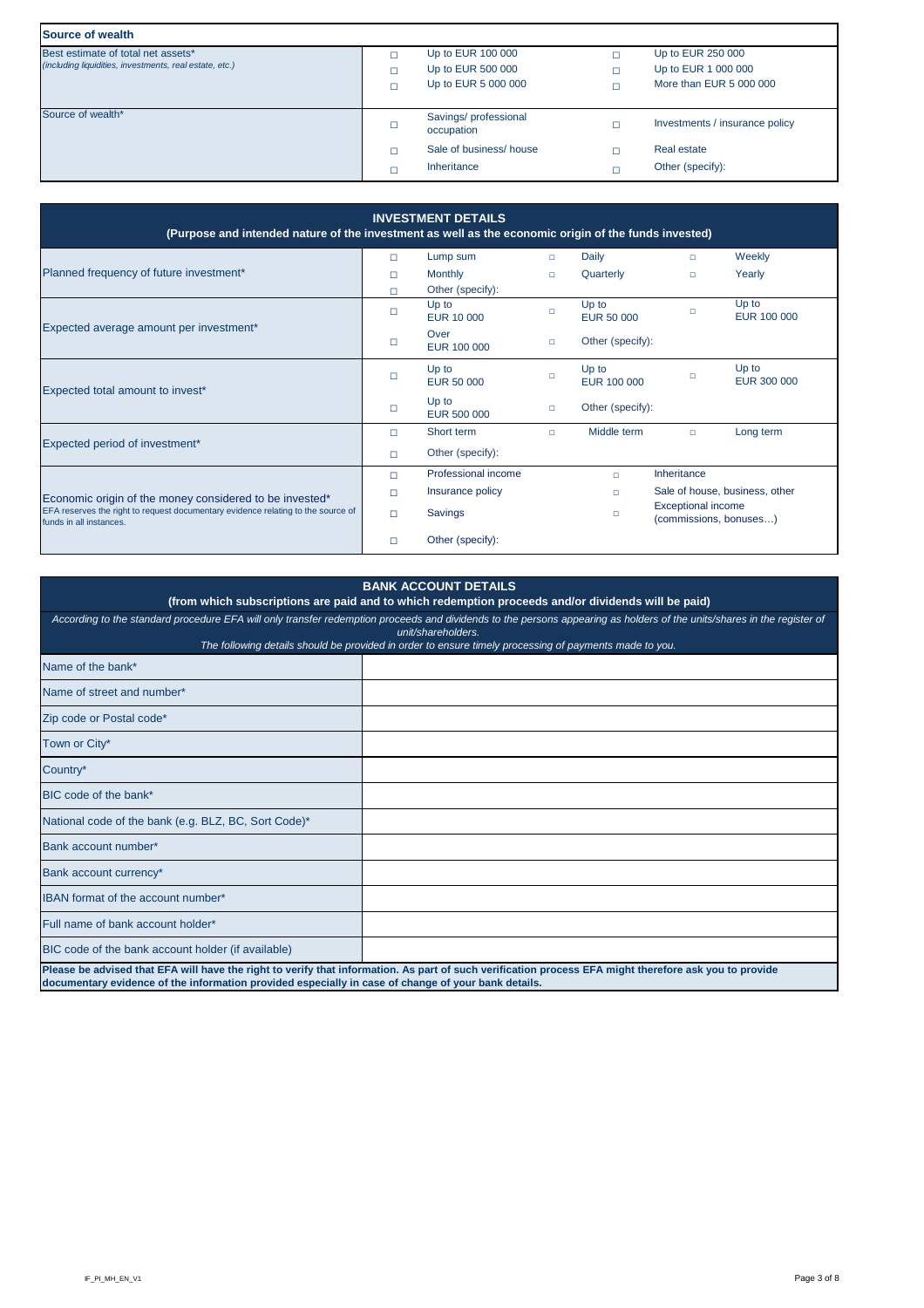| <b>Source of wealth</b>                                                                       |                                                               |                                                                     |
|-----------------------------------------------------------------------------------------------|---------------------------------------------------------------|---------------------------------------------------------------------|
| Best estimate of total net assets*<br>(including liquidities, investments, real estate, etc.) | Up to EUR 100 000<br>Up to EUR 500 000<br>Up to EUR 5 000 000 | Up to EUR 250 000<br>Up to EUR 1 000 000<br>More than EUR 5 000 000 |
| Source of wealth*                                                                             | Savings/professional<br>occupation                            | Investments / insurance policy                                      |
|                                                                                               | Sale of business/house<br>Inheritance                         | <b>Real estate</b><br>Other (specify):                              |

| <b>INVESTMENT DETAILS</b><br>(Purpose and intended nature of the investment as well as the economic origin of the funds invested) |        |                             |        |                            |                                                     |                                |  |  |
|-----------------------------------------------------------------------------------------------------------------------------------|--------|-----------------------------|--------|----------------------------|-----------------------------------------------------|--------------------------------|--|--|
|                                                                                                                                   | $\Box$ | Lump sum                    | $\Box$ | <b>Daily</b>               | $\Box$                                              | Weekly                         |  |  |
| Planned frequency of future investment*                                                                                           | $\Box$ | <b>Monthly</b>              | $\Box$ | Quarterly                  | $\Box$                                              | Yearly                         |  |  |
|                                                                                                                                   | $\Box$ | Other (specify):            |        |                            |                                                     |                                |  |  |
|                                                                                                                                   | □      | Up to<br><b>EUR 10 000</b>  | $\Box$ | Up to<br><b>EUR 50 000</b> | $\Box$                                              | Up to<br>EUR 100 000           |  |  |
| Expected average amount per investment*                                                                                           | $\Box$ | Over<br>EUR 100 000         | $\Box$ | Other (specify):           |                                                     |                                |  |  |
| Expected total amount to invest*                                                                                                  | $\Box$ | Up to<br><b>EUR 50 000</b>  | $\Box$ | Up to<br>EUR 100 000       | $\Box$                                              | Up to<br><b>EUR 300 000</b>    |  |  |
|                                                                                                                                   | □      | Up to<br><b>EUR 500 000</b> | $\Box$ | Other (specify):           |                                                     |                                |  |  |
|                                                                                                                                   | $\Box$ | Short term                  | $\Box$ | Middle term                | $\Box$                                              | Long term                      |  |  |
| Expected period of investment*                                                                                                    | $\Box$ | Other (specify):            |        |                            |                                                     |                                |  |  |
|                                                                                                                                   | $\Box$ | Professional income         |        | $\Box$                     | Inheritance                                         |                                |  |  |
| Economic origin of the money considered to be invested*                                                                           | □      | Insurance policy            |        | $\Box$                     |                                                     | Sale of house, business, other |  |  |
| EFA reserves the right to request documentary evidence relating to the source of<br>funds in all instances.                       | $\Box$ | <b>Savings</b>              |        | $\Box$                     | <b>Exceptional income</b><br>(commissions, bonuses) |                                |  |  |
|                                                                                                                                   | $\Box$ | Other (specify):            |        |                            |                                                     |                                |  |  |

| <b>BANK ACCOUNT DETAILS</b><br>(from which subscriptions are paid and to which redemption proceeds and/or dividends will be paid)                                                                                                                                                                       |  |  |  |  |  |  |  |
|---------------------------------------------------------------------------------------------------------------------------------------------------------------------------------------------------------------------------------------------------------------------------------------------------------|--|--|--|--|--|--|--|
| According to the standard procedure EFA will only transfer redemption proceeds and dividends to the persons appearing as holders of the units/shares in the register of<br>unit/shareholders.<br>The following details should be provided in order to ensure timely processing of payments made to you. |  |  |  |  |  |  |  |
| Name of the bank*                                                                                                                                                                                                                                                                                       |  |  |  |  |  |  |  |
| Name of street and number*                                                                                                                                                                                                                                                                              |  |  |  |  |  |  |  |
| Zip code or Postal code*                                                                                                                                                                                                                                                                                |  |  |  |  |  |  |  |
| Town or City*                                                                                                                                                                                                                                                                                           |  |  |  |  |  |  |  |
| Country*                                                                                                                                                                                                                                                                                                |  |  |  |  |  |  |  |

| BIC code of the bank*                                                                                                                                                                                                                                         |  |  |  |  |  |  |
|---------------------------------------------------------------------------------------------------------------------------------------------------------------------------------------------------------------------------------------------------------------|--|--|--|--|--|--|
| National code of the bank (e.g. BLZ, BC, Sort Code)*                                                                                                                                                                                                          |  |  |  |  |  |  |
| Bank account number*                                                                                                                                                                                                                                          |  |  |  |  |  |  |
| Bank account currency*                                                                                                                                                                                                                                        |  |  |  |  |  |  |
| IBAN format of the account number*                                                                                                                                                                                                                            |  |  |  |  |  |  |
| Full name of bank account holder*                                                                                                                                                                                                                             |  |  |  |  |  |  |
| BIC code of the bank account holder (if available)                                                                                                                                                                                                            |  |  |  |  |  |  |
| Please be advised that EFA will have the right to verify that information. As part of such verification process EFA might therefore ask you to provide<br>documentary evidence of the information provided especially in case of change of your bank details. |  |  |  |  |  |  |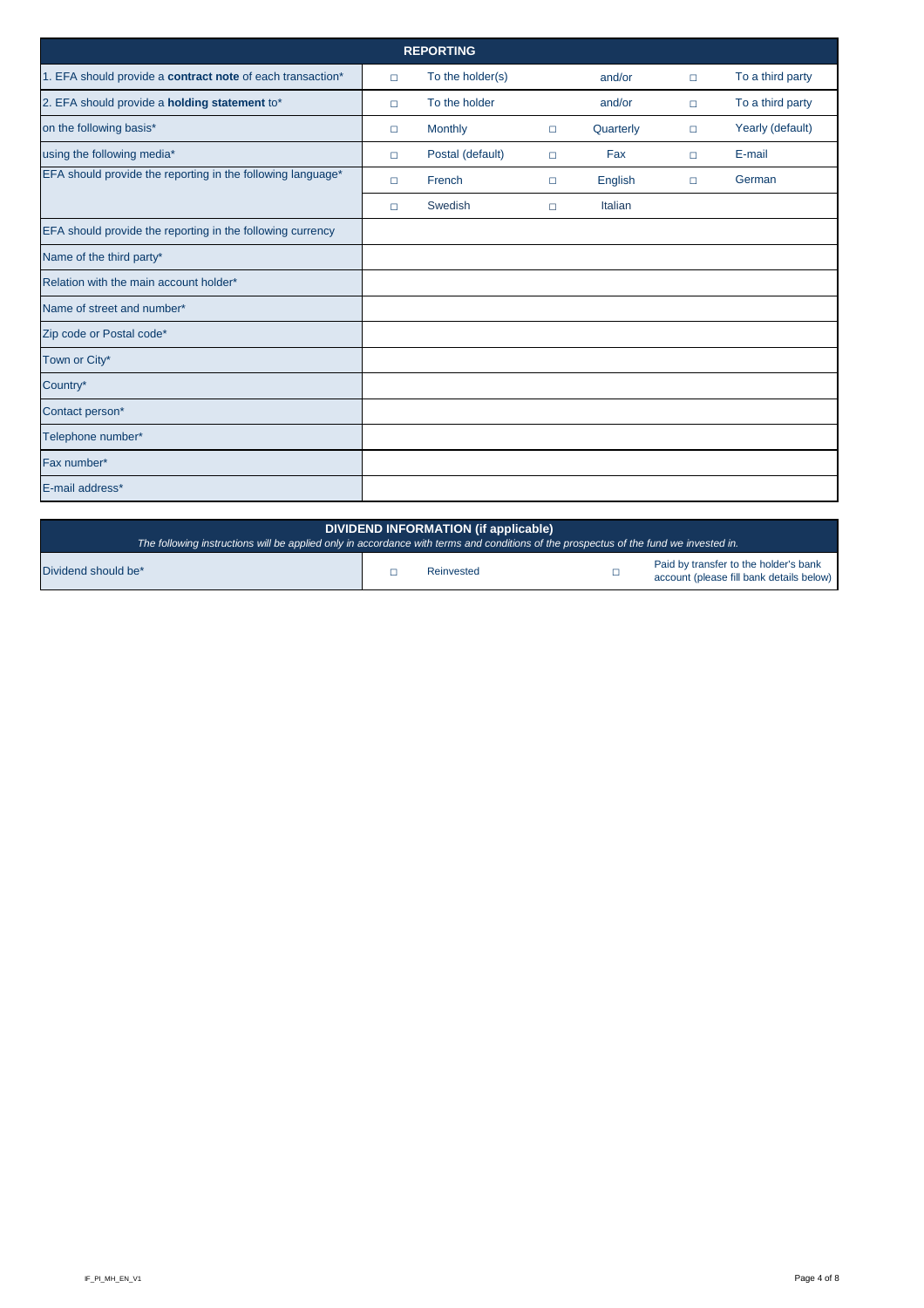| <b>REPORTING</b>                                            |        |                  |        |                |        |                  |  |  |  |
|-------------------------------------------------------------|--------|------------------|--------|----------------|--------|------------------|--|--|--|
| 1. EFA should provide a contract note of each transaction*  | $\Box$ | To the holder(s) |        | and/or         | $\Box$ | To a third party |  |  |  |
| 2. EFA should provide a holding statement to*               | $\Box$ | To the holder    |        | and/or         | $\Box$ | To a third party |  |  |  |
| on the following basis*                                     | $\Box$ | <b>Monthly</b>   | $\Box$ | Quarterly      | $\Box$ | Yearly (default) |  |  |  |
| using the following media*                                  | $\Box$ | Postal (default) | $\Box$ | Fax            | $\Box$ | E-mail           |  |  |  |
| EFA should provide the reporting in the following language* | $\Box$ | French           | $\Box$ | <b>English</b> | $\Box$ | German           |  |  |  |
|                                                             | $\Box$ | Swedish          | $\Box$ | Italian        |        |                  |  |  |  |
| EFA should provide the reporting in the following currency  |        |                  |        |                |        |                  |  |  |  |
| Name of the third party*                                    |        |                  |        |                |        |                  |  |  |  |
| Relation with the main account holder*                      |        |                  |        |                |        |                  |  |  |  |
| Name of street and number*                                  |        |                  |        |                |        |                  |  |  |  |
| Zip code or Postal code*                                    |        |                  |        |                |        |                  |  |  |  |
| Town or City*                                               |        |                  |        |                |        |                  |  |  |  |
| Country*                                                    |        |                  |        |                |        |                  |  |  |  |
| Contact person*                                             |        |                  |        |                |        |                  |  |  |  |
| Telephone number*                                           |        |                  |        |                |        |                  |  |  |  |
| Fax number*                                                 |        |                  |        |                |        |                  |  |  |  |
| E-mail address*                                             |        |                  |        |                |        |                  |  |  |  |

| DIVIDEND INFORMATION (if applicable)<br>The following instructions will be applied only in accordance with terms and conditions of the prospectus of the fund we invested in. |  |            |  |                                                                                   |  |  |
|-------------------------------------------------------------------------------------------------------------------------------------------------------------------------------|--|------------|--|-----------------------------------------------------------------------------------|--|--|
| Dividend should be*                                                                                                                                                           |  | Reinvested |  | Paid by transfer to the holder's bank<br>account (please fill bank details below) |  |  |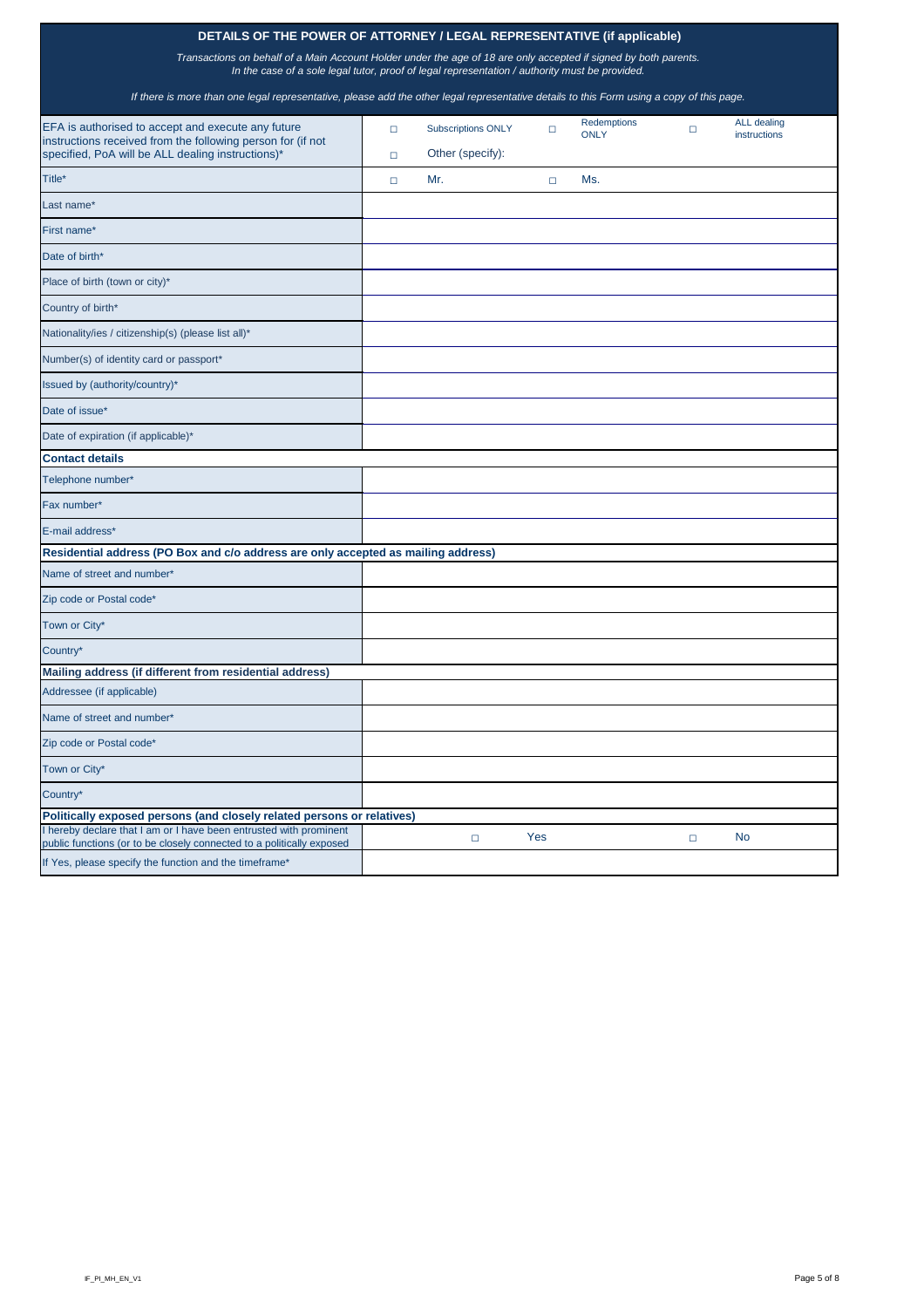## **DETAILS OF THE POWER OF ATTORNEY / LEGAL REPRESENTATIVE (if applicable)**

*Transactions on behalf of a Main Account Holder under the age of 18 are only accepted if signed by both parents. In the case of a sole legal tutor, proof of legal representation / authority must be provided.* 

| EFA is authorised to accept and execute any future<br>instructions received from the following person for (if not | $\Box$ | <b>Subscriptions ONLY</b> | □      | Redemptions<br><b>ONLY</b> | $\Box$ | <b>ALL</b> dealing<br>instructions |
|-------------------------------------------------------------------------------------------------------------------|--------|---------------------------|--------|----------------------------|--------|------------------------------------|
| specified, PoA will be ALL dealing instructions)*                                                                 | $\Box$ | Other (specify):          |        |                            |        |                                    |
| Title*                                                                                                            | $\Box$ | Mr.                       | $\Box$ | Ms.                        |        |                                    |
| Last name*                                                                                                        |        |                           |        |                            |        |                                    |
| First name*                                                                                                       |        |                           |        |                            |        |                                    |
| Date of birth*                                                                                                    |        |                           |        |                            |        |                                    |
| Place of birth (town or city)*                                                                                    |        |                           |        |                            |        |                                    |
| Country of birth*                                                                                                 |        |                           |        |                            |        |                                    |
| Nationality/ies / citizenship(s) (please list all)*                                                               |        |                           |        |                            |        |                                    |
| Number(s) of identity card or passport*                                                                           |        |                           |        |                            |        |                                    |
| Issued by (authority/country)*                                                                                    |        |                           |        |                            |        |                                    |
| Date of issue*                                                                                                    |        |                           |        |                            |        |                                    |
| Date of expiration (if applicable)*                                                                               |        |                           |        |                            |        |                                    |
| <b>Contact details</b>                                                                                            |        |                           |        |                            |        |                                    |
| Telephone number*                                                                                                 |        |                           |        |                            |        |                                    |
| Fax number*                                                                                                       |        |                           |        |                            |        |                                    |
| E-mail address*                                                                                                   |        |                           |        |                            |        |                                    |
| Residential address (PO Box and c/o address are only accepted as mailing address)                                 |        |                           |        |                            |        |                                    |
| Name of street and number*                                                                                        |        |                           |        |                            |        |                                    |
| Zip code or Postal code*                                                                                          |        |                           |        |                            |        |                                    |
| Town or City*                                                                                                     |        |                           |        |                            |        |                                    |
| Country*                                                                                                          |        |                           |        |                            |        |                                    |
| Mailing address (if different from residential address)                                                           |        |                           |        |                            |        |                                    |
| Addressee (if applicable)                                                                                         |        |                           |        |                            |        |                                    |
| Name of street and number*                                                                                        |        |                           |        |                            |        |                                    |
| Zip code or Postal code*                                                                                          |        |                           |        |                            |        |                                    |
| Town or City*                                                                                                     |        |                           |        |                            |        |                                    |

*If there is more than one legal representative, please add the other legal representative details to this Form using a copy of this page.*

| Country*                                                                                                                                    |  |     |           |
|---------------------------------------------------------------------------------------------------------------------------------------------|--|-----|-----------|
| Politically exposed persons (and closely related persons or relatives)                                                                      |  |     |           |
| I hereby declare that I am or I have been entrusted with prominent<br>public functions (or to be closely connected to a politically exposed |  | Yes | <b>No</b> |
| If Yes, please specify the function and the timeframe*                                                                                      |  |     |           |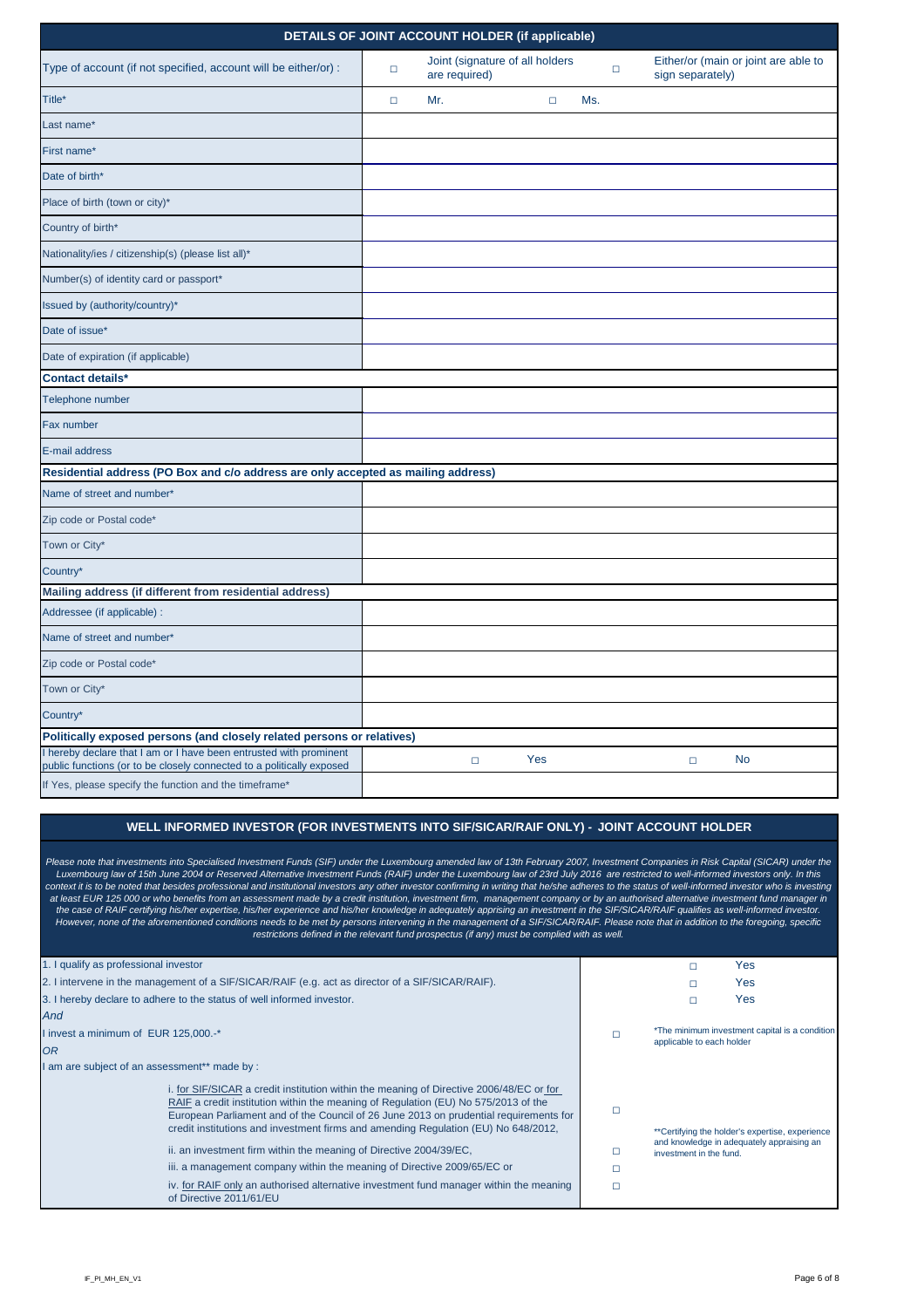| <b>DETAILS OF JOINT ACCOUNT HOLDER (if applicable)</b>                                                                                      |        |     |                                                  |            |     |        |                  |                                      |
|---------------------------------------------------------------------------------------------------------------------------------------------|--------|-----|--------------------------------------------------|------------|-----|--------|------------------|--------------------------------------|
| Type of account (if not specified, account will be either/or) :                                                                             | $\Box$ |     | Joint (signature of all holders<br>are required) |            |     | $\Box$ | sign separately) | Either/or (main or joint are able to |
| Title*                                                                                                                                      | $\Box$ | Mr. |                                                  | $\Box$     | Ms. |        |                  |                                      |
| Last name*                                                                                                                                  |        |     |                                                  |            |     |        |                  |                                      |
| First name*                                                                                                                                 |        |     |                                                  |            |     |        |                  |                                      |
| Date of birth*                                                                                                                              |        |     |                                                  |            |     |        |                  |                                      |
| Place of birth (town or city)*                                                                                                              |        |     |                                                  |            |     |        |                  |                                      |
| Country of birth*                                                                                                                           |        |     |                                                  |            |     |        |                  |                                      |
| Nationality/ies / citizenship(s) (please list all)*                                                                                         |        |     |                                                  |            |     |        |                  |                                      |
| Number(s) of identity card or passport*                                                                                                     |        |     |                                                  |            |     |        |                  |                                      |
| Issued by (authority/country)*                                                                                                              |        |     |                                                  |            |     |        |                  |                                      |
| Date of issue*                                                                                                                              |        |     |                                                  |            |     |        |                  |                                      |
| Date of expiration (if applicable)                                                                                                          |        |     |                                                  |            |     |        |                  |                                      |
| <b>Contact details*</b>                                                                                                                     |        |     |                                                  |            |     |        |                  |                                      |
| Telephone number                                                                                                                            |        |     |                                                  |            |     |        |                  |                                      |
| Fax number                                                                                                                                  |        |     |                                                  |            |     |        |                  |                                      |
| E-mail address                                                                                                                              |        |     |                                                  |            |     |        |                  |                                      |
| Residential address (PO Box and c/o address are only accepted as mailing address)                                                           |        |     |                                                  |            |     |        |                  |                                      |
| Name of street and number*                                                                                                                  |        |     |                                                  |            |     |        |                  |                                      |
| Zip code or Postal code*                                                                                                                    |        |     |                                                  |            |     |        |                  |                                      |
| Town or City*                                                                                                                               |        |     |                                                  |            |     |        |                  |                                      |
| Country*                                                                                                                                    |        |     |                                                  |            |     |        |                  |                                      |
| Mailing address (if different from residential address)                                                                                     |        |     |                                                  |            |     |        |                  |                                      |
| Addressee (if applicable) :                                                                                                                 |        |     |                                                  |            |     |        |                  |                                      |
| Name of street and number*                                                                                                                  |        |     |                                                  |            |     |        |                  |                                      |
| Zip code or Postal code*                                                                                                                    |        |     |                                                  |            |     |        |                  |                                      |
| Town or City*                                                                                                                               |        |     |                                                  |            |     |        |                  |                                      |
| Country*                                                                                                                                    |        |     |                                                  |            |     |        |                  |                                      |
| Politically exposed persons (and closely related persons or relatives)                                                                      |        |     |                                                  |            |     |        |                  |                                      |
| I hereby declare that I am or I have been entrusted with prominent<br>public functions (or to be closely connected to a politically exposed |        |     | $\Box$                                           | <b>Yes</b> |     |        | $\Box$           | <b>No</b>                            |

### **WELL INFORMED INVESTOR (FOR INVESTMENTS INTO SIF/SICAR/RAIF ONLY)** *-* **JOINT ACCOUNT HOLDER**

| 1. I qualify as professional investor                                                                                                                                                                                                                                                                                                                                                                                                                                                                         |                           | Yes                                                                                          |
|---------------------------------------------------------------------------------------------------------------------------------------------------------------------------------------------------------------------------------------------------------------------------------------------------------------------------------------------------------------------------------------------------------------------------------------------------------------------------------------------------------------|---------------------------|----------------------------------------------------------------------------------------------|
| 2. I intervene in the management of a SIF/SICAR/RAIF (e.g. act as director of a SIF/SICAR/RAIF).                                                                                                                                                                                                                                                                                                                                                                                                              |                           | Yes                                                                                          |
| 3. I hereby declare to adhere to the status of well informed investor.                                                                                                                                                                                                                                                                                                                                                                                                                                        |                           | Yes                                                                                          |
| And                                                                                                                                                                                                                                                                                                                                                                                                                                                                                                           |                           |                                                                                              |
| I invest a minimum of EUR 125,000.-*                                                                                                                                                                                                                                                                                                                                                                                                                                                                          | applicable to each holder | *The minimum investment capital is a condition                                               |
| <b>OR</b>                                                                                                                                                                                                                                                                                                                                                                                                                                                                                                     |                           |                                                                                              |
| I am are subject of an assessment** made by :                                                                                                                                                                                                                                                                                                                                                                                                                                                                 |                           |                                                                                              |
| i. for SIF/SICAR a credit institution within the meaning of Directive 2006/48/EC or for<br>RAIF a credit institution within the meaning of Regulation (EU) No 575/2013 of the<br>European Parliament and of the Council of 26 June 2013 on prudential requirements for<br>credit institutions and investment firms and amending Regulation (EU) No 648/2012,<br>ii. an investment firm within the meaning of Directive 2004/39/EC,<br>iii. a management company within the meaning of Directive 2009/65/EC or | investment in the fund.   | **Certifying the holder's expertise, experience<br>and knowledge in adequately appraising an |
| iv. for RAIF only an authorised alternative investment fund manager within the meaning<br>of Directive 2011/61/EU                                                                                                                                                                                                                                                                                                                                                                                             |                           |                                                                                              |

*Please note that investments into Specialised Investment Funds (SIF) under the Luxembourg amended law of 13th February 2007, Investment Companies in Risk Capital (SICAR) under the Luxembourg law of 15th June 2004 or Reserved Alternative Investment Funds (RAIF) under the Luxembourg law of 23rd July 2016 are restricted to well-informed investors only. In this*  context it is to be noted that besides professional and institutional investors any other investor confirming in writing that he/she adheres to the status of well-informed investor who is investing *at least EUR 125 000 or who benefits from an assessment made by a credit institution, investment firm, management company or by an authorised alternative investment fund manager in the case of RAIF certifying his/her expertise, his/her experience and his/her knowledge in adequately apprising an investment in the SIF/SICAR/RAIF qualifies as well-informed investor. However, none of the aforementioned conditions needs to be met by persons intervening in the management of a SIF/SICAR/RAIF. Please note that in addition to the foregoing, specific restrictions defined in the relevant fund prospectus (if any) must be complied with as well.*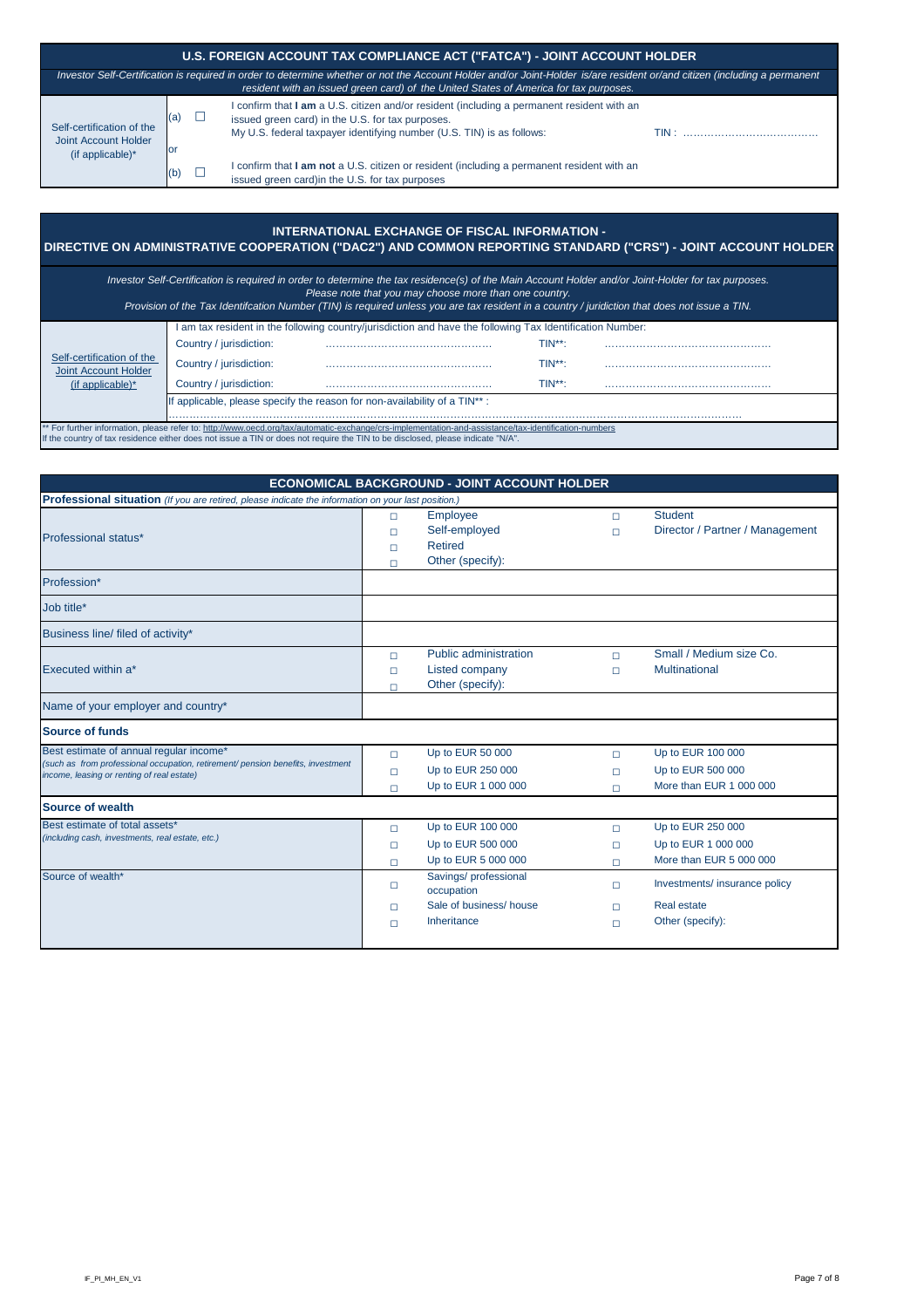| U.S. FOREIGN ACCOUNT TAX COMPLIANCE ACT ("FATCA") - JOINT ACCOUNT HOLDER                                                                                                                                                                                           |            |  |                                                                                                                                                                                                                         |       |  |  |
|--------------------------------------------------------------------------------------------------------------------------------------------------------------------------------------------------------------------------------------------------------------------|------------|--|-------------------------------------------------------------------------------------------------------------------------------------------------------------------------------------------------------------------------|-------|--|--|
| Investor Self-Certification is required in order to determine whether or not the Account Holder and/or Joint-Holder is/are resident or/and citizen (including a permanent<br>resident with an issued green card) of the United States of America for tax purposes. |            |  |                                                                                                                                                                                                                         |       |  |  |
| Self-certification of the<br><b>Joint Account Holder</b><br>$(if$ applicable)*                                                                                                                                                                                     | (a)<br>lor |  | I confirm that I am a U.S. citizen and/or resident (including a permanent resident with an<br>issued green card) in the U.S. for tax purposes.<br>My U.S. federal taxpayer identifying number (U.S. TIN) is as follows: | TIN : |  |  |
|                                                                                                                                                                                                                                                                    | (b)        |  | I confirm that I am not a U.S. citizen or resident (including a permanent resident with an<br>issued green card) in the U.S. for tax purposes                                                                           |       |  |  |

#### **INTERNATIONAL EXCHANGE OF FISCAL INFORMATION -**

## **DIRECTIVE ON ADMINISTRATIVE COOPERATION ("DAC2") AND COMMON REPORTING STANDARD ("CRS") - JOINT ACCOUNT HOLDER**

| <b>Professional situation</b> (If you are retired, please indicate the information on your last position.)                                                               |                       |                                                                                                 |             |                                                                    |  |
|--------------------------------------------------------------------------------------------------------------------------------------------------------------------------|-----------------------|-------------------------------------------------------------------------------------------------|-------------|--------------------------------------------------------------------|--|
| Professional status*                                                                                                                                                     |                       | <b>Employee</b><br>$\Box$<br>Self-employed<br>$\Box$<br><b>Retired</b><br>□<br>Other (specify): |             | <b>Student</b><br>Director / Partner / Management                  |  |
| Profession*                                                                                                                                                              |                       |                                                                                                 |             |                                                                    |  |
| Job title*                                                                                                                                                               |                       |                                                                                                 |             |                                                                    |  |
| Business line/ filed of activity*                                                                                                                                        |                       |                                                                                                 |             |                                                                    |  |
| <b>Executed within a*</b>                                                                                                                                                | $\Box$<br>$\Box$<br>П | <b>Public administration</b><br>Listed company<br>Other (specify):                              | П<br>П      | Small / Medium size Co.<br><b>Multinational</b>                    |  |
| Name of your employer and country*                                                                                                                                       |                       |                                                                                                 |             |                                                                    |  |
| <b>Source of funds</b>                                                                                                                                                   |                       |                                                                                                 |             |                                                                    |  |
| Best estimate of annual regular income*<br>(such as from professional occupation, retirement/ pension benefits, investment<br>income, leasing or renting of real estate) | $\Box$<br>$\Box$      | Up to EUR 50 000<br>Up to EUR 250 000<br>$\ln t_0$ FUR 1 000 000                                | $\Box$<br>П | Up to EUR 100 000<br>Up to EUR 500 000<br>More than FLIR 1,000,000 |  |

|                                                  |        | Up to EUR 1 000 000                | More than EUR 1 000 000      |
|--------------------------------------------------|--------|------------------------------------|------------------------------|
| <b>Source of wealth</b>                          |        |                                    |                              |
| Best estimate of total assets*                   | $\Box$ | Up to EUR 100 000                  | Up to EUR 250 000            |
| (including cash, investments, real estate, etc.) | $\Box$ | Up to EUR 500 000                  | Up to EUR 1 000 000          |
|                                                  |        | Up to EUR 5 000 000                | More than EUR 5 000 000      |
| Source of wealth*                                |        | Savings/professional<br>occupation | Investments/insurance policy |
|                                                  |        | Sale of business/house             | Real estate                  |
|                                                  |        | Inheritance                        | Other (specify):             |
|                                                  |        |                                    |                              |

*Investor Self-Certification is required in order to determine the tax residence(s) of the Main Account Holder and/or Joint-Holder for tax purposes. Please note that you may choose more than one country.*

|                                                                                                                                                      | I am tax resident in the following country/jurisdiction and have the following Tax Identification Number: |  |              |  |  |  |  |
|------------------------------------------------------------------------------------------------------------------------------------------------------|-----------------------------------------------------------------------------------------------------------|--|--------------|--|--|--|--|
|                                                                                                                                                      | Country / jurisdiction:                                                                                   |  | $TIN^{**}$ : |  |  |  |  |
| Self-certification of the<br><b>Joint Account Holder</b>                                                                                             | Country / jurisdiction:                                                                                   |  | $TIN^{**}$ : |  |  |  |  |
| (if applicable) $*$                                                                                                                                  | Country / jurisdiction:                                                                                   |  | $TIN**$ :    |  |  |  |  |
|                                                                                                                                                      | If applicable, please specify the reason for non-availability of a TIN <sup>**</sup> :                    |  |              |  |  |  |  |
|                                                                                                                                                      |                                                                                                           |  |              |  |  |  |  |
| ** For further information, please refer to: http://www.oecd.org/tax/automatic-exchange/crs-implementation-and-assistance/tax-identification-numbers |                                                                                                           |  |              |  |  |  |  |
| If the country of tax residence either does not issue a TIN or does not require the TIN to be disclosed, please indicate "N/A".                      |                                                                                                           |  |              |  |  |  |  |

*Provision of the Tax Identifcation Number (TIN) is required unless you are tax resident in a country / juridiction that does not issue a TIN.*

### **ECONOMICAL BACKGROUND - JOINT ACCOUNT HOLDER**